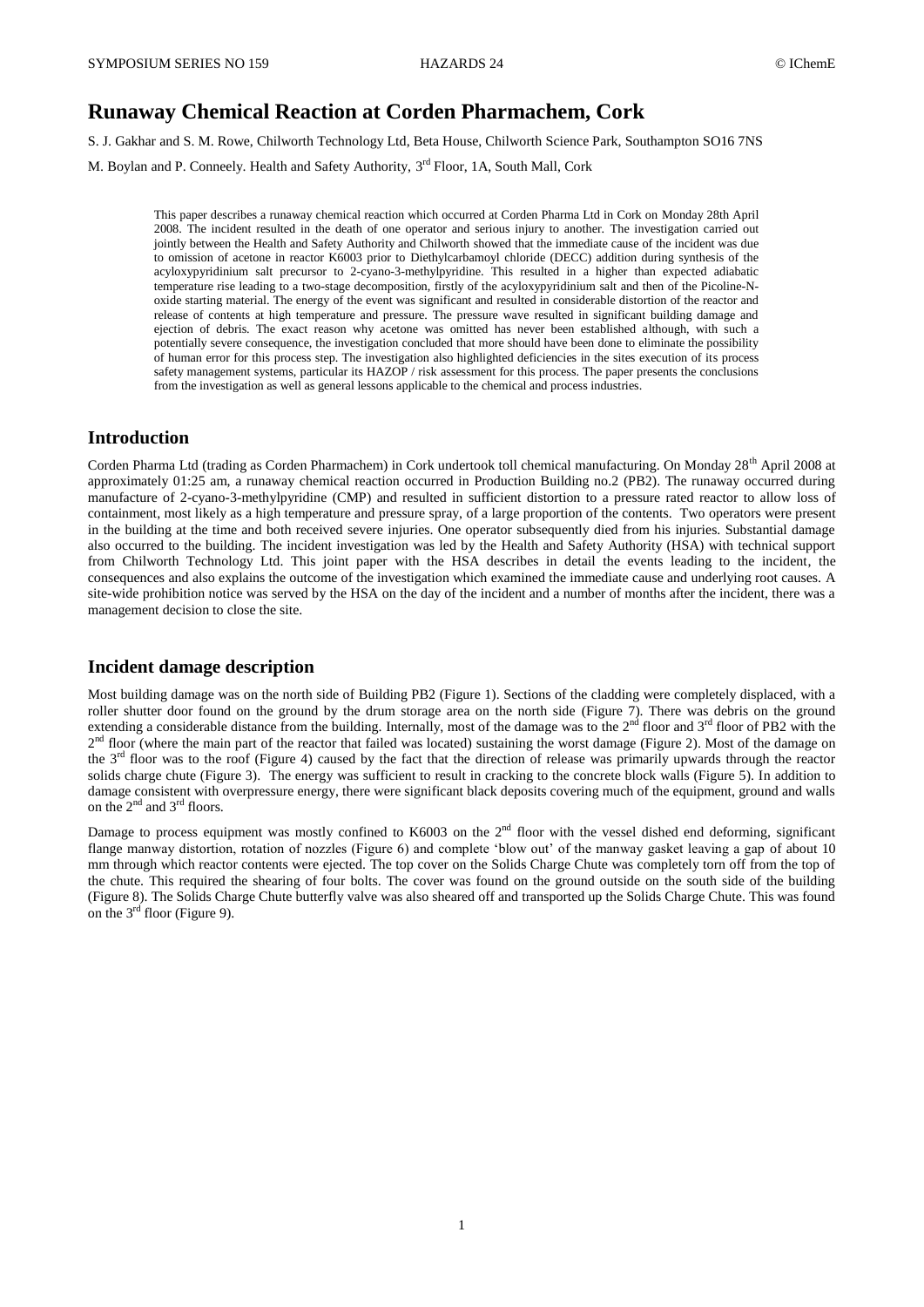# **Runaway Chemical Reaction at Corden Pharmachem, Cork**

S. J. Gakhar and S. M. Rowe, Chilworth Technology Ltd, Beta House, Chilworth Science Park, Southampton SO16 7NS

M. Boylan and P. Conneely. Health and Safety Authority, 3<sup>rd</sup> Floor, 1A, South Mall, Cork

This paper describes a runaway chemical reaction which occurred at Corden Pharma Ltd in Cork on Monday 28th April 2008. The incident resulted in the death of one operator and serious injury to another. The investigation carried out jointly between the Health and Safety Authority and Chilworth showed that the immediate cause of the incident was due to omission of acetone in reactor K6003 prior to Diethylcarbamoyl chloride (DECC) addition during synthesis of the acyloxypyridinium salt precursor to 2-cyano-3-methylpyridine. This resulted in a higher than expected adiabatic temperature rise leading to a two-stage decomposition, firstly of the acyloxypyridinium salt and then of the Picoline-Noxide starting material. The energy of the event was significant and resulted in considerable distortion of the reactor and release of contents at high temperature and pressure. The pressure wave resulted in significant building damage and ejection of debris. The exact reason why acetone was omitted has never been established although, with such a potentially severe consequence, the investigation concluded that more should have been done to eliminate the possibility of human error for this process step. The investigation also highlighted deficiencies in the sites execution of its process safety management systems, particular its HAZOP / risk assessment for this process. The paper presents the conclusions from the investigation as well as general lessons applicable to the chemical and process industries.

## **Introduction**

Corden Pharma Ltd (trading as Corden Pharmachem) in Cork undertook toll chemical manufacturing. On Monday 28<sup>th</sup> April 2008 at approximately 01:25 am, a runaway chemical reaction occurred in Production Building no.2 (PB2). The runaway occurred during manufacture of 2-cyano-3-methylpyridine (CMP) and resulted in sufficient distortion to a pressure rated reactor to allow loss of containment, most likely as a high temperature and pressure spray, of a large proportion of the contents. Two operators were present in the building at the time and both received severe injuries. One operator subsequently died from his injuries. Substantial damage also occurred to the building. The incident investigation was led by the Health and Safety Authority (HSA) with technical support from Chilworth Technology Ltd. This joint paper with the HSA describes in detail the events leading to the incident, the consequences and also explains the outcome of the investigation which examined the immediate cause and underlying root causes. A site-wide prohibition notice was served by the HSA on the day of the incident and a number of months after the incident, there was a management decision to close the site.

## **Incident damage description**

Most building damage was on the north side of Building PB2 (Figure 1). Sections of the cladding were completely displaced, with a roller shutter door found on the ground by the drum storage area on the north side (Figure 7). There was debris on the ground extending a considerable distance from the building. Internally, most of the damage was to the  $2<sup>nd</sup>$  floor and  $3<sup>rd</sup>$  floor of PB2 with the  $2<sup>nd</sup>$  floor (where the main part of the reactor that failed was located) sustaining the worst damage (Figure 2). Most of the damage on the  $3<sup>rd</sup>$  floor was to the roof (Figure 4) caused by the fact that the direction of release was primarily upwards through the reactor solids charge chute (Figure 3). The energy was sufficient to result in cracking to the concrete block walls (Figure 5). In addition to damage consistent with overpressure energy, there were significant black deposits covering much of the equipment, ground and walls on the 2<sup>nd</sup> and 3<sup>rd</sup> floors.

Damage to process equipment was mostly confined to K6003 on the  $2<sup>nd</sup>$  floor with the vessel dished end deforming, significant flange manway distortion, rotation of nozzles (Figure 6) and complete 'blow out' of the manway gasket leaving a gap of about 10 mm through which reactor contents were ejected. The top cover on the Solids Charge Chute was completely torn off from the top of the chute. This required the shearing of four bolts. The cover was found on the ground outside on the south side of the building (Figure 8). The Solids Charge Chute butterfly valve was also sheared off and transported up the Solids Charge Chute. This was found on the 3rd floor (Figure 9).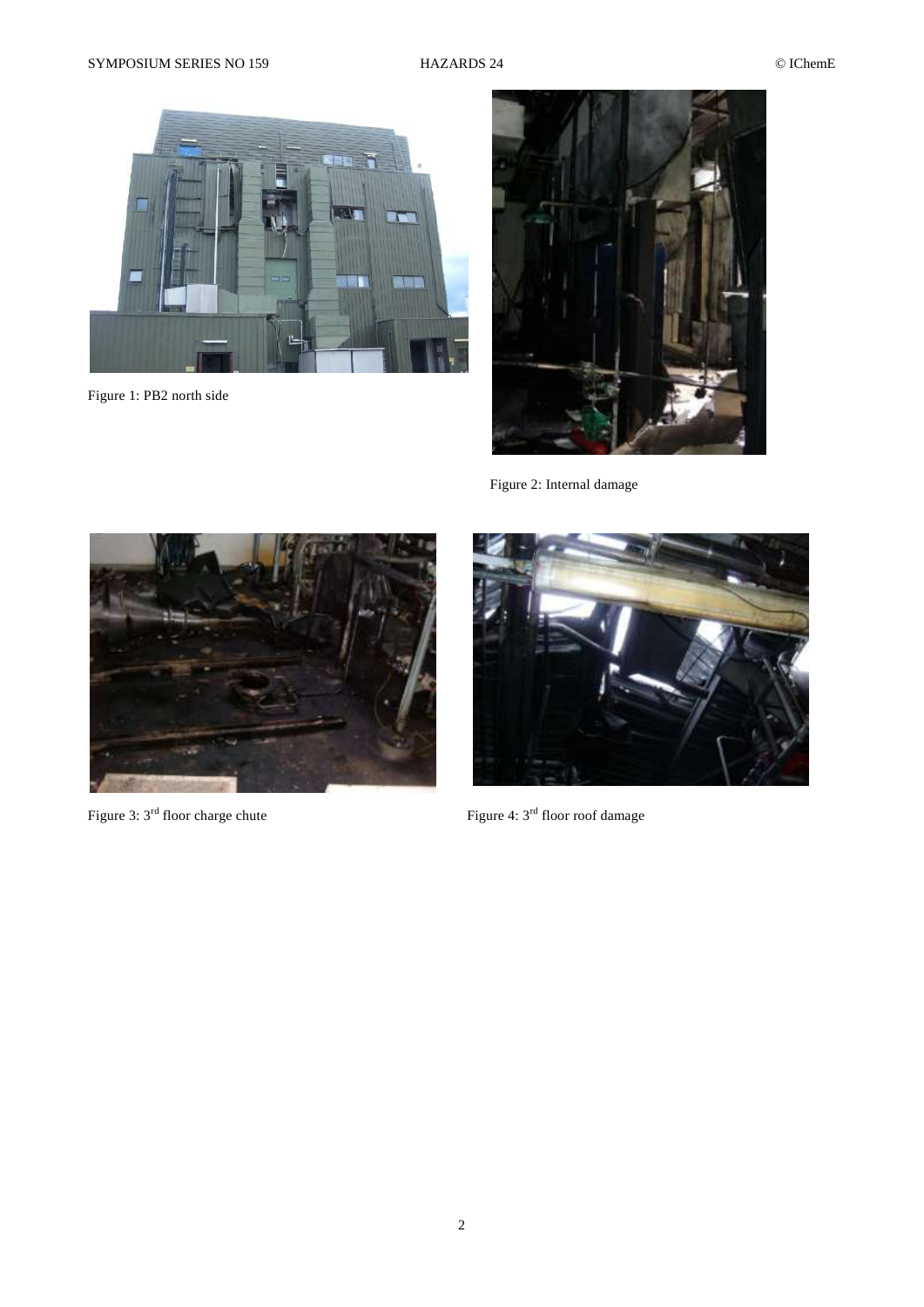

Figure 1: PB2 north side



Figure 2: Internal damage



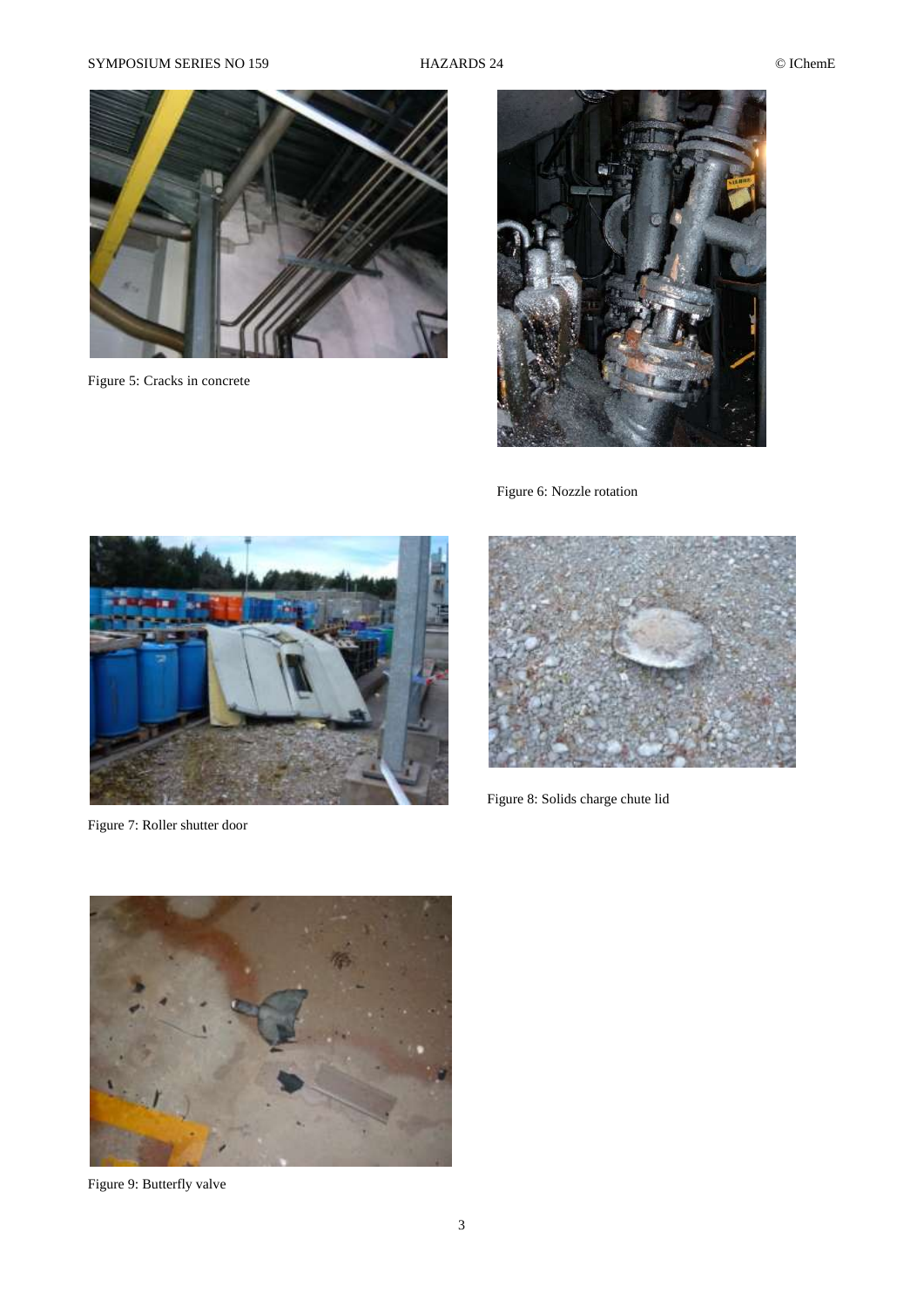## SYMPOSIUM SERIES NO 159 HAZARDS 24 © IChemE



Figure 5: Cracks in concrete



Figure 6: Nozzle rotation

![](_page_2_Picture_7.jpeg)

Figure 7: Roller shutter door

![](_page_2_Picture_9.jpeg)

Figure 8: Solids charge chute lid

![](_page_2_Picture_11.jpeg)

Figure 9: Butterfly valve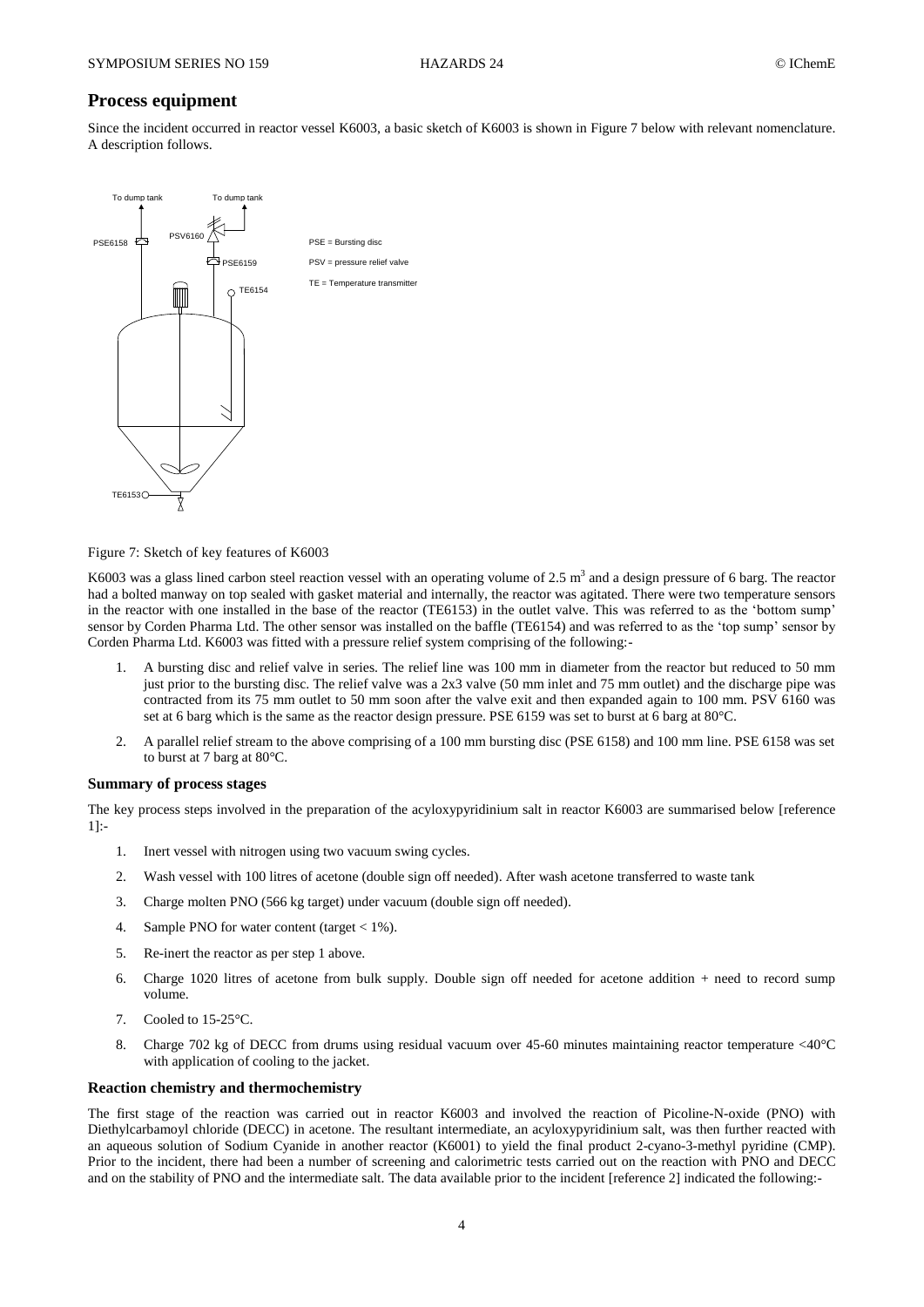## **Process equipment**

Since the incident occurred in reactor vessel K6003, a basic sketch of K6003 is shown in Figure 7 below with relevant nomenclature. A description follows.

![](_page_3_Figure_5.jpeg)

Figure 7: Sketch of key features of K6003

K6003 was a glass lined carbon steel reaction vessel with an operating volume of  $2.5 \text{ m}^3$  and a design pressure of 6 barg. The reactor had a bolted manway on top sealed with gasket material and internally, the reactor was agitated. There were two temperature sensors in the reactor with one installed in the base of the reactor (TE6153) in the outlet valve. This was referred to as the 'bottom sump' sensor by Corden Pharma Ltd. The other sensor was installed on the baffle (TE6154) and was referred to as the 'top sump' sensor by Corden Pharma Ltd. K6003 was fitted with a pressure relief system comprising of the following:-

- 1. A bursting disc and relief valve in series. The relief line was 100 mm in diameter from the reactor but reduced to 50 mm just prior to the bursting disc. The relief valve was a 2x3 valve (50 mm inlet and 75 mm outlet) and the discharge pipe was contracted from its 75 mm outlet to 50 mm soon after the valve exit and then expanded again to 100 mm. PSV 6160 was set at 6 barg which is the same as the reactor design pressure. PSE 6159 was set to burst at 6 barg at 80°C.
- 2. A parallel relief stream to the above comprising of a 100 mm bursting disc (PSE 6158) and 100 mm line. PSE 6158 was set to burst at 7 barg at 80°C.

### **Summary of process stages**

The key process steps involved in the preparation of the acyloxypyridinium salt in reactor K6003 are summarised below [reference 1]:-

- 1. Inert vessel with nitrogen using two vacuum swing cycles.
- 2. Wash vessel with 100 litres of acetone (double sign off needed). After wash acetone transferred to waste tank
- 3. Charge molten PNO (566 kg target) under vacuum (double sign off needed).
- 4. Sample PNO for water content (target  $< 1\%$ ).
- 5. Re-inert the reactor as per step 1 above.
- 6. Charge 1020 litres of acetone from bulk supply. Double sign off needed for acetone addition + need to record sump volume.
- 7. Cooled to 15-25°C.
- 8. Charge 702 kg of DECC from drums using residual vacuum over 45-60 minutes maintaining reactor temperature <40°C with application of cooling to the jacket.

#### **Reaction chemistry and thermochemistry**

The first stage of the reaction was carried out in reactor K6003 and involved the reaction of Picoline-N-oxide (PNO) with Diethylcarbamoyl chloride (DECC) in acetone. The resultant intermediate, an acyloxypyridinium salt, was then further reacted with an aqueous solution of Sodium Cyanide in another reactor (K6001) to yield the final product 2-cyano-3-methyl pyridine (CMP). Prior to the incident, there had been a number of screening and calorimetric tests carried out on the reaction with PNO and DECC and on the stability of PNO and the intermediate salt. The data available prior to the incident [reference 2] indicated the following:-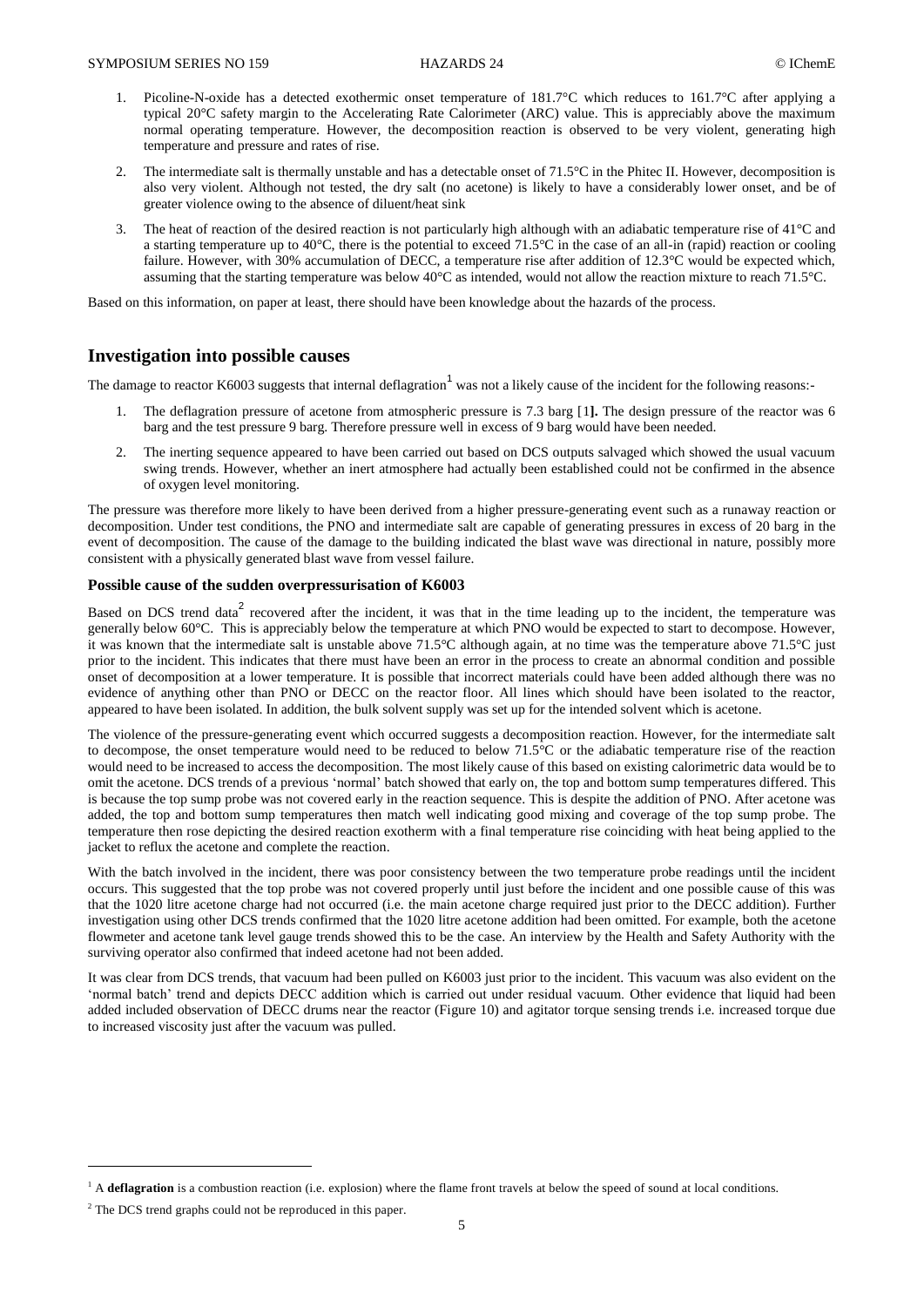- 1. Picoline-N-oxide has a detected exothermic onset temperature of 181.7°C which reduces to 161.7°C after applying a typical 20°C safety margin to the Accelerating Rate Calorimeter (ARC) value. This is appreciably above the maximum normal operating temperature. However, the decomposition reaction is observed to be very violent, generating high temperature and pressure and rates of rise.
- 2. The intermediate salt is thermally unstable and has a detectable onset of 71.5°C in the Phitec II. However, decomposition is also very violent. Although not tested, the dry salt (no acetone) is likely to have a considerably lower onset, and be of greater violence owing to the absence of diluent/heat sink
- 3. The heat of reaction of the desired reaction is not particularly high although with an adiabatic temperature rise of  $41^{\circ}$ C and a starting temperature up to 40°C, there is the potential to exceed 71.5°C in the case of an all-in (rapid) reaction or cooling failure. However, with 30% accumulation of DECC, a temperature rise after addition of 12.3°C would be expected which, assuming that the starting temperature was below 40°C as intended, would not allow the reaction mixture to reach 71.5°C.

Based on this information, on paper at least, there should have been knowledge about the hazards of the process.

## **Investigation into possible causes**

The damage to reactor K6003 suggests that internal deflagration<sup>1</sup> was not a likely cause of the incident for the following reasons:-

- 1. The deflagration pressure of acetone from atmospheric pressure is 7.3 barg [\[1](#page-10-0)**].** The design pressure of the reactor was 6 barg and the test pressure 9 barg. Therefore pressure well in excess of 9 barg would have been needed.
- 2. The inerting sequence appeared to have been carried out based on DCS outputs salvaged which showed the usual vacuum swing trends. However, whether an inert atmosphere had actually been established could not be confirmed in the absence of oxygen level monitoring.

The pressure was therefore more likely to have been derived from a higher pressure-generating event such as a runaway reaction or decomposition. Under test conditions, the PNO and intermediate salt are capable of generating pressures in excess of 20 barg in the event of decomposition. The cause of the damage to the building indicated the blast wave was directional in nature, possibly more consistent with a physically generated blast wave from vessel failure.

## **Possible cause of the sudden overpressurisation of K6003**

Based on DCS trend data<sup>2</sup> recovered after the incident, it was that in the time leading up to the incident, the temperature was generally below 60°C. This is appreciably below the temperature at which PNO would be expected to start to decompose. However, it was known that the intermediate salt is unstable above 71.5°C although again, at no time was the temperature above 71.5°C just prior to the incident. This indicates that there must have been an error in the process to create an abnormal condition and possible onset of decomposition at a lower temperature. It is possible that incorrect materials could have been added although there was no evidence of anything other than PNO or DECC on the reactor floor. All lines which should have been isolated to the reactor, appeared to have been isolated. In addition, the bulk solvent supply was set up for the intended solvent which is acetone.

The violence of the pressure-generating event which occurred suggests a decomposition reaction. However, for the intermediate salt to decompose, the onset temperature would need to be reduced to below 71.5°C or the adiabatic temperature rise of the reaction would need to be increased to access the decomposition. The most likely cause of this based on existing calorimetric data would be to omit the acetone. DCS trends of a previous 'normal' batch showed that early on, the top and bottom sump temperatures differed. This is because the top sump probe was not covered early in the reaction sequence. This is despite the addition of PNO. After acetone was added, the top and bottom sump temperatures then match well indicating good mixing and coverage of the top sump probe. The temperature then rose depicting the desired reaction exotherm with a final temperature rise coinciding with heat being applied to the jacket to reflux the acetone and complete the reaction.

With the batch involved in the incident, there was poor consistency between the two temperature probe readings until the incident occurs. This suggested that the top probe was not covered properly until just before the incident and one possible cause of this was that the 1020 litre acetone charge had not occurred (i.e. the main acetone charge required just prior to the DECC addition). Further investigation using other DCS trends confirmed that the 1020 litre acetone addition had been omitted. For example, both the acetone flowmeter and acetone tank level gauge trends showed this to be the case. An interview by the Health and Safety Authority with the surviving operator also confirmed that indeed acetone had not been added.

It was clear from DCS trends, that vacuum had been pulled on K6003 just prior to the incident. This vacuum was also evident on the 'normal batch' trend and depicts DECC addition which is carried out under residual vacuum. Other evidence that liquid had been added included observation of DECC drums near the reactor (Figure 10) and agitator torque sensing trends i.e. increased torque due to increased viscosity just after the vacuum was pulled.

 $\overline{a}$ 

<sup>&</sup>lt;sup>1</sup> A deflagration is a combustion reaction (i.e. explosion) where the flame front travels at below the speed of sound at local conditions.

<sup>&</sup>lt;sup>2</sup> The DCS trend graphs could not be reproduced in this paper.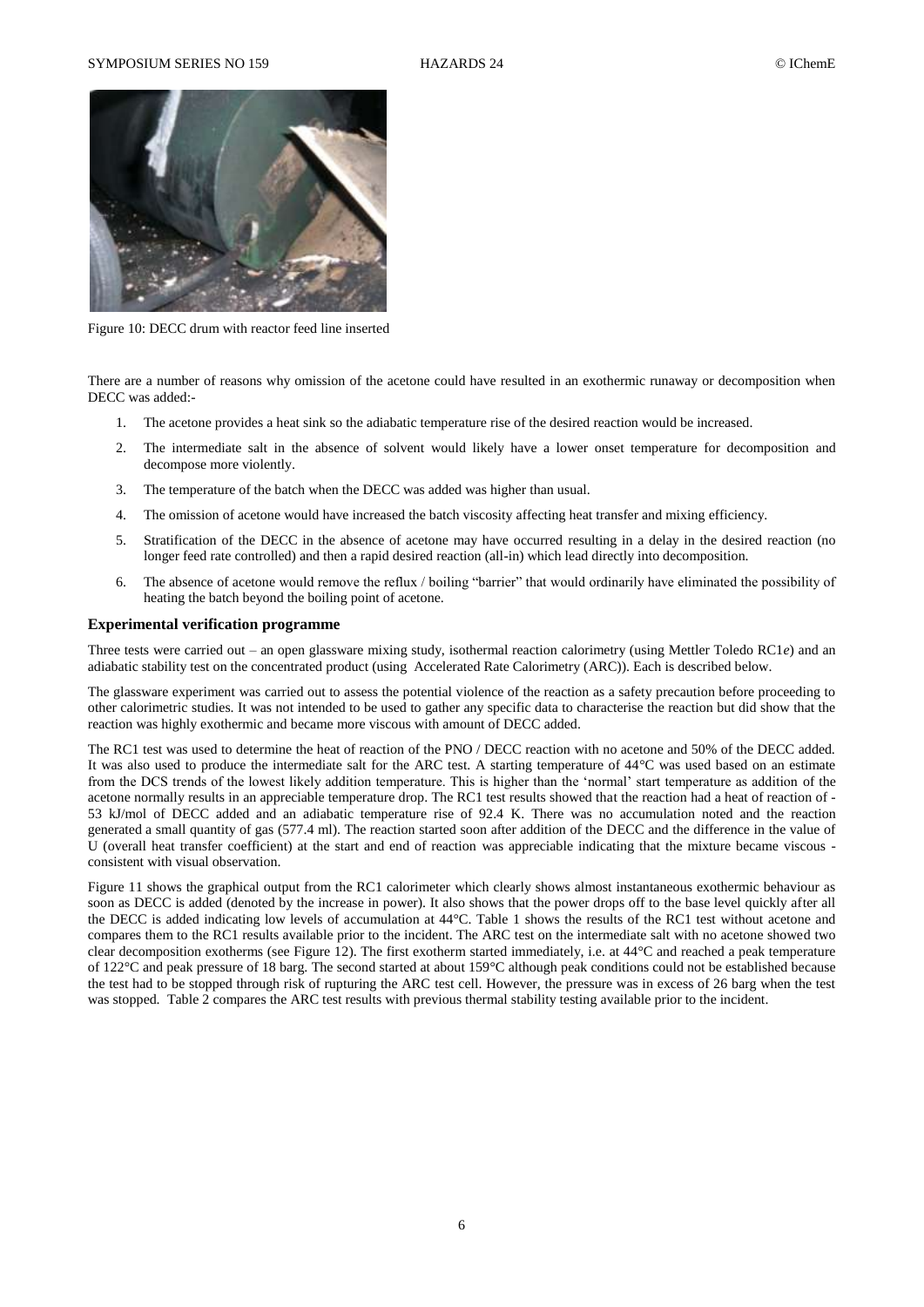### SYMPOSIUM SERIES NO 159 HAZARDS 24 CICHEME

![](_page_5_Picture_3.jpeg)

Figure 10: DECC drum with reactor feed line inserted

There are a number of reasons why omission of the acetone could have resulted in an exothermic runaway or decomposition when DECC was added:-

- 1. The acetone provides a heat sink so the adiabatic temperature rise of the desired reaction would be increased.
- 2. The intermediate salt in the absence of solvent would likely have a lower onset temperature for decomposition and decompose more violently.
- 3. The temperature of the batch when the DECC was added was higher than usual.
- 4. The omission of acetone would have increased the batch viscosity affecting heat transfer and mixing efficiency.
- 5. Stratification of the DECC in the absence of acetone may have occurred resulting in a delay in the desired reaction (no longer feed rate controlled) and then a rapid desired reaction (all-in) which lead directly into decomposition.
- 6. The absence of acetone would remove the reflux / boiling "barrier" that would ordinarily have eliminated the possibility of heating the batch beyond the boiling point of acetone.

#### **Experimental verification programme**

Three tests were carried out – an open glassware mixing study, isothermal reaction calorimetry (using Mettler Toledo RC1*e*) and an adiabatic stability test on the concentrated product (using Accelerated Rate Calorimetry (ARC)). Each is described below.

The glassware experiment was carried out to assess the potential violence of the reaction as a safety precaution before proceeding to other calorimetric studies. It was not intended to be used to gather any specific data to characterise the reaction but did show that the reaction was highly exothermic and became more viscous with amount of DECC added.

The RC1 test was used to determine the heat of reaction of the PNO / DECC reaction with no acetone and 50% of the DECC added. It was also used to produce the intermediate salt for the ARC test. A starting temperature of 44°C was used based on an estimate from the DCS trends of the lowest likely addition temperature. This is higher than the 'normal' start temperature as addition of the acetone normally results in an appreciable temperature drop. The RC1 test results showed that the reaction had a heat of reaction of - 53 kJ/mol of DECC added and an adiabatic temperature rise of 92.4 K. There was no accumulation noted and the reaction generated a small quantity of gas (577.4 ml). The reaction started soon after addition of the DECC and the difference in the value of U (overall heat transfer coefficient) at the start and end of reaction was appreciable indicating that the mixture became viscous consistent with visual observation.

Figure 11 shows the graphical output from the RC1 calorimeter which clearly shows almost instantaneous exothermic behaviour as soon as DECC is added (denoted by the increase in power). It also shows that the power drops off to the base level quickly after all the DECC is added indicating low levels of accumulation at 44°C. [Table 1](#page-6-0) shows the results of the RC1 test without acetone and compares them to the RC1 results available prior to the incident. The ARC test on the intermediate salt with no acetone showed two clear decomposition exotherms (see Figure 12). The first exotherm started immediately, i.e. at 44°C and reached a peak temperature of 122°C and peak pressure of 18 barg. The second started at about 159°C although peak conditions could not be established because the test had to be stopped through risk of rupturing the ARC test cell. However, the pressure was in excess of 26 barg when the test was stopped. [Table 2](#page-7-0) compares the ARC test results with previous thermal stability testing available prior to the incident.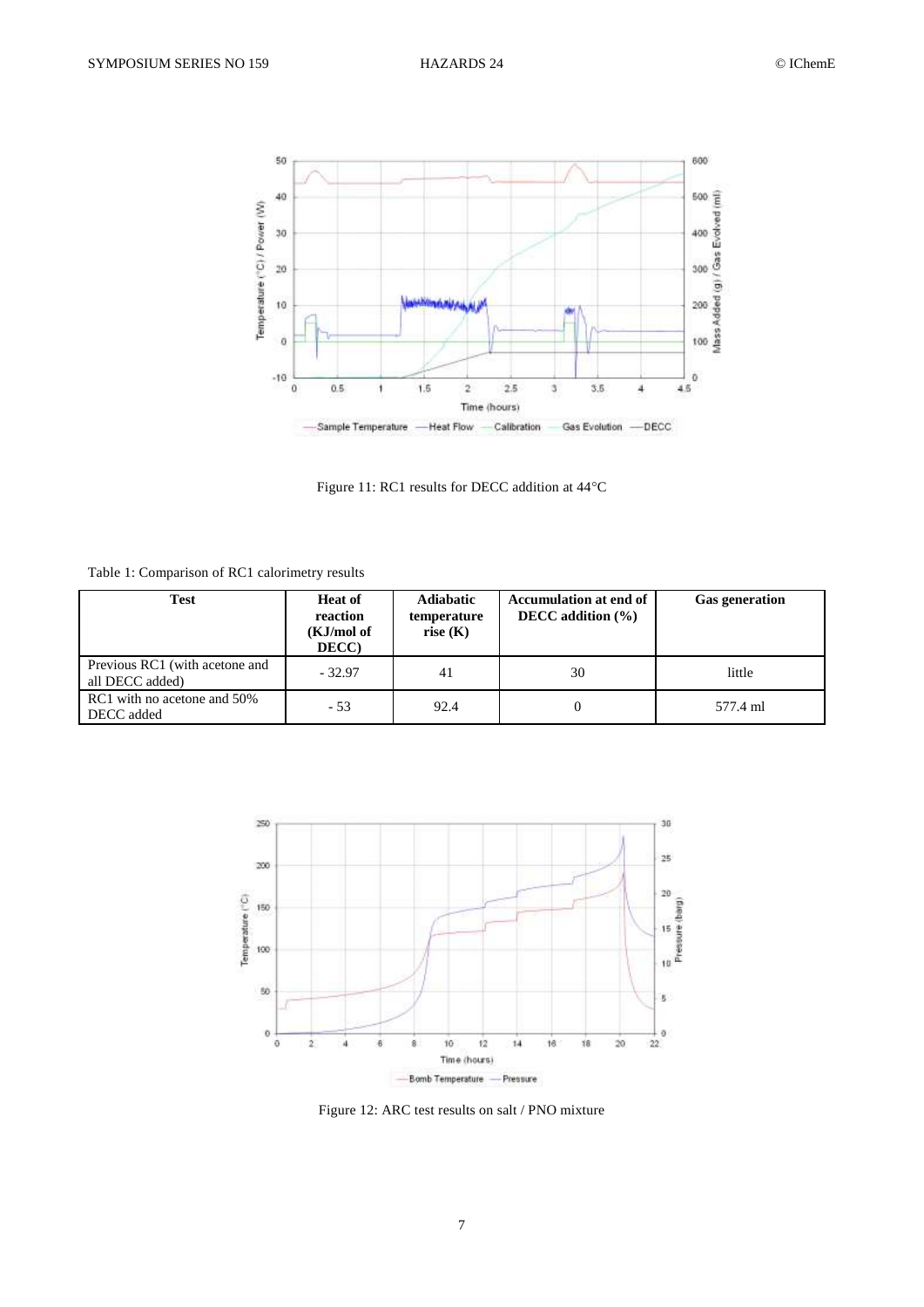![](_page_6_Figure_3.jpeg)

Figure 11: RC1 results for DECC addition at 44°C

<span id="page-6-0"></span>Table 1: Comparison of RC1 calorimetry results

| <b>Test</b>                                       | <b>Heat of</b><br>reaction<br>(KJ/mol of<br>DECC) | <b>Adiabatic</b><br>temperature<br>rise $(K)$ | Accumulation at end of<br>DECC addition $(\% )$ | <b>Gas generation</b> |
|---------------------------------------------------|---------------------------------------------------|-----------------------------------------------|-------------------------------------------------|-----------------------|
| Previous RC1 (with acetone and<br>all DECC added) | $-32.97$                                          | 41                                            | 30                                              | little                |
| RC1 with no acetone and 50%<br>DECC added         | $-53$                                             | 92.4                                          | $\theta$                                        | 577.4 ml              |

![](_page_6_Figure_7.jpeg)

Figure 12: ARC test results on salt / PNO mixture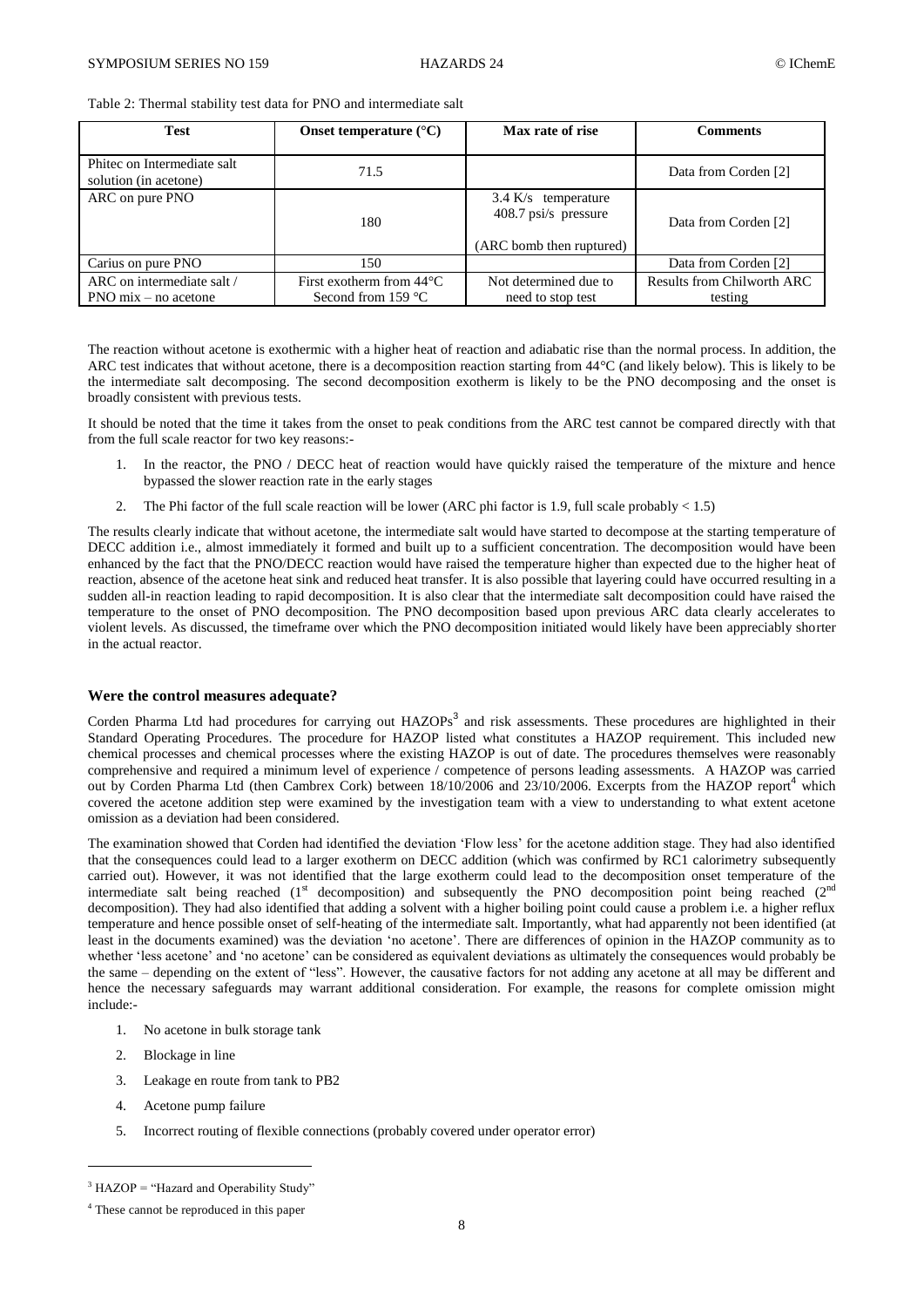<span id="page-7-0"></span>Table 2: Thermal stability test data for PNO and intermediate salt

| <b>Test</b>                                                         | Onset temperature $(^{\circ}C)$                                    | Max rate of rise                                                          | <b>Comments</b>                              |
|---------------------------------------------------------------------|--------------------------------------------------------------------|---------------------------------------------------------------------------|----------------------------------------------|
| Phitec on Intermediate salt<br>solution (in acetone)                | 71.5                                                               |                                                                           | Data from Corden [2]                         |
| ARC on pure PNO                                                     | 180                                                                | $3.4$ K/s temperature<br>408.7 psi/s pressure<br>(ARC bomb then ruptured) | Data from Corden [2]                         |
| Carius on pure PNO                                                  | 150                                                                |                                                                           | Data from Corden [2]                         |
| ARC on intermediate salt /<br>$PNO \text{ mix} - \text{no acetone}$ | First exotherm from $44^{\circ}$ C<br>Second from 159 $^{\circ}$ C | Not determined due to<br>need to stop test                                | <b>Results from Chilworth ARC</b><br>testing |

The reaction without acetone is exothermic with a higher heat of reaction and adiabatic rise than the normal process. In addition, the ARC test indicates that without acetone, there is a decomposition reaction starting from 44°C (and likely below). This is likely to be the intermediate salt decomposing. The second decomposition exotherm is likely to be the PNO decomposing and the onset is broadly consistent with previous tests.

It should be noted that the time it takes from the onset to peak conditions from the ARC test cannot be compared directly with that from the full scale reactor for two key reasons:-

- 1. In the reactor, the PNO / DECC heat of reaction would have quickly raised the temperature of the mixture and hence bypassed the slower reaction rate in the early stages
- 2. The Phi factor of the full scale reaction will be lower (ARC phi factor is 1.9, full scale probably  $< 1.5$ )

The results clearly indicate that without acetone, the intermediate salt would have started to decompose at the starting temperature of DECC addition i.e., almost immediately it formed and built up to a sufficient concentration. The decomposition would have been enhanced by the fact that the PNO/DECC reaction would have raised the temperature higher than expected due to the higher heat of reaction, absence of the acetone heat sink and reduced heat transfer. It is also possible that layering could have occurred resulting in a sudden all-in reaction leading to rapid decomposition. It is also clear that the intermediate salt decomposition could have raised the temperature to the onset of PNO decomposition. The PNO decomposition based upon previous ARC data clearly accelerates to violent levels. As discussed, the timeframe over which the PNO decomposition initiated would likely have been appreciably shorter in the actual reactor.

### **Were the control measures adequate?**

Corden Pharma Ltd had procedures for carrying out  $HAZOPs<sup>3</sup>$  and risk assessments. These procedures are highlighted in their Standard Operating Procedures. The procedure for HAZOP listed what constitutes a HAZOP requirement. This included new chemical processes and chemical processes where the existing HAZOP is out of date. The procedures themselves were reasonably comprehensive and required a minimum level of experience / competence of persons leading assessments. A HAZOP was carried out by Corden Pharma Ltd (then Cambrex Cork) between 18/10/2006 and 23/10/2006. Excerpts from the HAZOP report<sup>4</sup> which covered the acetone addition step were examined by the investigation team with a view to understanding to what extent acetone omission as a deviation had been considered.

The examination showed that Corden had identified the deviation 'Flow less' for the acetone addition stage. They had also identified that the consequences could lead to a larger exotherm on DECC addition (which was confirmed by RC1 calorimetry subsequently carried out). However, it was not identified that the large exotherm could lead to the decomposition onset temperature of the intermediate salt being reached  $(1<sup>st</sup>$  decomposition) and subsequently the PNO decomposition point being reached  $(2<sup>nd</sup>$ decomposition). They had also identified that adding a solvent with a higher boiling point could cause a problem i.e. a higher reflux temperature and hence possible onset of self-heating of the intermediate salt. Importantly, what had apparently not been identified (at least in the documents examined) was the deviation 'no acetone'. There are differences of opinion in the HAZOP community as to whether 'less acetone' and 'no acetone' can be considered as equivalent deviations as ultimately the consequences would probably be the same – depending on the extent of "less". However, the causative factors for not adding any acetone at all may be different and hence the necessary safeguards may warrant additional consideration. For example, the reasons for complete omission might include:-

- 1. No acetone in bulk storage tank
- 2. Blockage in line

 $\overline{a}$ 

- 3. Leakage en route from tank to PB2
- 4. Acetone pump failure
- 5. Incorrect routing of flexible connections (probably covered under operator error)

<sup>&</sup>lt;sup>3</sup> HAZOP = "Hazard and Operability Study"

<sup>4</sup> These cannot be reproduced in this paper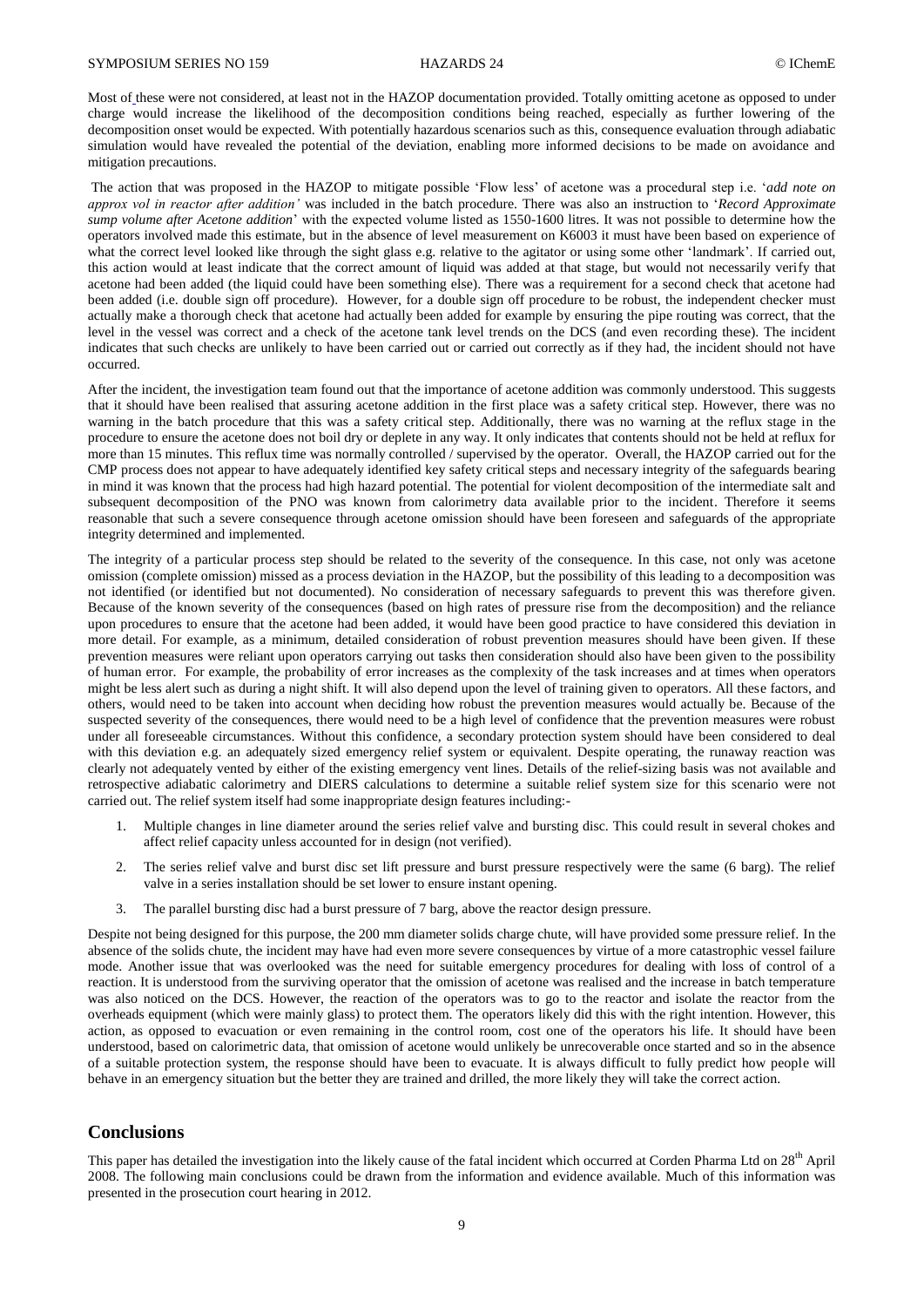Most of these were not considered, at least not in the HAZOP documentation provided. Totally omitting acetone as opposed to under charge would increase the likelihood of the decomposition conditions being reached, especially as further lowering of the decomposition onset would be expected. With potentially hazardous scenarios such as this, consequence evaluation through adiabatic simulation would have revealed the potential of the deviation, enabling more informed decisions to be made on avoidance and mitigation precautions.

The action that was proposed in the HAZOP to mitigate possible 'Flow less' of acetone was a procedural step i.e. '*add note on approx vol in reactor after addition'* was included in the batch procedure. There was also an instruction to '*Record Approximate sump volume after Acetone addition*' with the expected volume listed as 1550-1600 litres. It was not possible to determine how the operators involved made this estimate, but in the absence of level measurement on K6003 it must have been based on experience of what the correct level looked like through the sight glass e.g. relative to the agitator or using some other 'landmark'. If carried out, this action would at least indicate that the correct amount of liquid was added at that stage, but would not necessarily verify that acetone had been added (the liquid could have been something else). There was a requirement for a second check that acetone had been added (i.e. double sign off procedure). However, for a double sign off procedure to be robust, the independent checker must actually make a thorough check that acetone had actually been added for example by ensuring the pipe routing was correct, that the level in the vessel was correct and a check of the acetone tank level trends on the DCS (and even recording these). The incident indicates that such checks are unlikely to have been carried out or carried out correctly as if they had, the incident should not have occurred.

After the incident, the investigation team found out that the importance of acetone addition was commonly understood. This suggests that it should have been realised that assuring acetone addition in the first place was a safety critical step. However, there was no warning in the batch procedure that this was a safety critical step. Additionally, there was no warning at the reflux stage in the procedure to ensure the acetone does not boil dry or deplete in any way. It only indicates that contents should not be held at reflux for more than 15 minutes. This reflux time was normally controlled / supervised by the operator. Overall, the HAZOP carried out for the CMP process does not appear to have adequately identified key safety critical steps and necessary integrity of the safeguards bearing in mind it was known that the process had high hazard potential. The potential for violent decomposition of the intermediate salt and subsequent decomposition of the PNO was known from calorimetry data available prior to the incident. Therefore it seems reasonable that such a severe consequence through acetone omission should have been foreseen and safeguards of the appropriate integrity determined and implemented.

The integrity of a particular process step should be related to the severity of the consequence. In this case, not only was acetone omission (complete omission) missed as a process deviation in the HAZOP, but the possibility of this leading to a decomposition was not identified (or identified but not documented). No consideration of necessary safeguards to prevent this was therefore given. Because of the known severity of the consequences (based on high rates of pressure rise from the decomposition) and the reliance upon procedures to ensure that the acetone had been added, it would have been good practice to have considered this deviation in more detail. For example, as a minimum, detailed consideration of robust prevention measures should have been given. If these prevention measures were reliant upon operators carrying out tasks then consideration should also have been given to the possibility of human error. For example, the probability of error increases as the complexity of the task increases and at times when operators might be less alert such as during a night shift. It will also depend upon the level of training given to operators. All these factors, and others, would need to be taken into account when deciding how robust the prevention measures would actually be. Because of the suspected severity of the consequences, there would need to be a high level of confidence that the prevention measures were robust under all foreseeable circumstances. Without this confidence, a secondary protection system should have been considered to deal with this deviation e.g. an adequately sized emergency relief system or equivalent. Despite operating, the runaway reaction was clearly not adequately vented by either of the existing emergency vent lines. Details of the relief-sizing basis was not available and retrospective adiabatic calorimetry and DIERS calculations to determine a suitable relief system size for this scenario were not carried out. The relief system itself had some inappropriate design features including:-

- 1. Multiple changes in line diameter around the series relief valve and bursting disc. This could result in several chokes and affect relief capacity unless accounted for in design (not verified).
- 2. The series relief valve and burst disc set lift pressure and burst pressure respectively were the same (6 barg). The relief valve in a series installation should be set lower to ensure instant opening.
- 3. The parallel bursting disc had a burst pressure of 7 barg, above the reactor design pressure.

Despite not being designed for this purpose, the 200 mm diameter solids charge chute, will have provided some pressure relief. In the absence of the solids chute, the incident may have had even more severe consequences by virtue of a more catastrophic vessel failure mode. Another issue that was overlooked was the need for suitable emergency procedures for dealing with loss of control of a reaction. It is understood from the surviving operator that the omission of acetone was realised and the increase in batch temperature was also noticed on the DCS. However, the reaction of the operators was to go to the reactor and isolate the reactor from the overheads equipment (which were mainly glass) to protect them. The operators likely did this with the right intention. However, this action, as opposed to evacuation or even remaining in the control room, cost one of the operators his life. It should have been understood, based on calorimetric data, that omission of acetone would unlikely be unrecoverable once started and so in the absence of a suitable protection system, the response should have been to evacuate. It is always difficult to fully predict how people will behave in an emergency situation but the better they are trained and drilled, the more likely they will take the correct action.

## **Conclusions**

This paper has detailed the investigation into the likely cause of the fatal incident which occurred at Corden Pharma Ltd on 28<sup>th</sup> April 2008. The following main conclusions could be drawn from the information and evidence available. Much of this information was presented in the prosecution court hearing in 2012.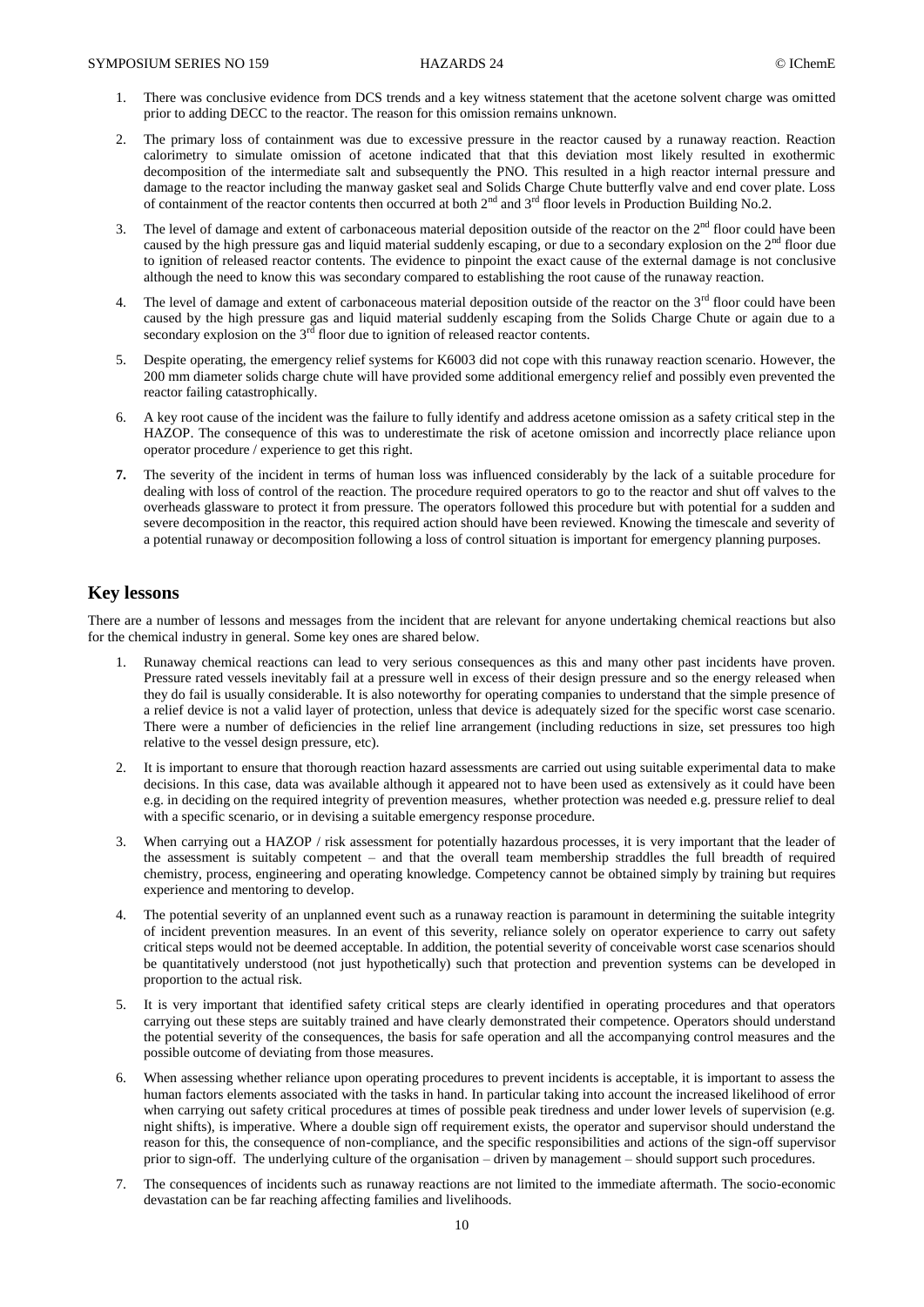- 1. There was conclusive evidence from DCS trends and a key witness statement that the acetone solvent charge was omitted prior to adding DECC to the reactor. The reason for this omission remains unknown.
- 2. The primary loss of containment was due to excessive pressure in the reactor caused by a runaway reaction. Reaction calorimetry to simulate omission of acetone indicated that that this deviation most likely resulted in exothermic decomposition of the intermediate salt and subsequently the PNO. This resulted in a high reactor internal pressure and damage to the reactor including the manway gasket seal and Solids Charge Chute butterfly valve and end cover plate. Loss of containment of the reactor contents then occurred at both  $2<sup>nd</sup>$  and  $3<sup>rd</sup>$  floor levels in Production Building No.2.
- 3. The level of damage and extent of carbonaceous material deposition outside of the reactor on the  $2<sup>nd</sup>$  floor could have been caused by the high pressure gas and liquid material suddenly escaping, or due to a secondary explosion on the  $2<sup>nd</sup>$  floor due to ignition of released reactor contents. The evidence to pinpoint the exact cause of the external damage is not conclusive although the need to know this was secondary compared to establishing the root cause of the runaway reaction.
- 4. The level of damage and extent of carbonaceous material deposition outside of the reactor on the  $3<sup>rd</sup>$  floor could have been caused by the high pressure gas and liquid material suddenly escaping from the Solids Charge Chute or again due to a secondary explosion on the  $3<sup>rd</sup>$  floor due to ignition of released reactor contents.
- 5. Despite operating, the emergency relief systems for K6003 did not cope with this runaway reaction scenario. However, the 200 mm diameter solids charge chute will have provided some additional emergency relief and possibly even prevented the reactor failing catastrophically.
- 6. A key root cause of the incident was the failure to fully identify and address acetone omission as a safety critical step in the HAZOP. The consequence of this was to underestimate the risk of acetone omission and incorrectly place reliance upon operator procedure / experience to get this right.
- **7.** The severity of the incident in terms of human loss was influenced considerably by the lack of a suitable procedure for dealing with loss of control of the reaction. The procedure required operators to go to the reactor and shut off valves to the overheads glassware to protect it from pressure. The operators followed this procedure but with potential for a sudden and severe decomposition in the reactor, this required action should have been reviewed. Knowing the timescale and severity of a potential runaway or decomposition following a loss of control situation is important for emergency planning purposes.

## **Key lessons**

There are a number of lessons and messages from the incident that are relevant for anyone undertaking chemical reactions but also for the chemical industry in general. Some key ones are shared below.

- 1. Runaway chemical reactions can lead to very serious consequences as this and many other past incidents have proven. Pressure rated vessels inevitably fail at a pressure well in excess of their design pressure and so the energy released when they do fail is usually considerable. It is also noteworthy for operating companies to understand that the simple presence of a relief device is not a valid layer of protection, unless that device is adequately sized for the specific worst case scenario. There were a number of deficiencies in the relief line arrangement (including reductions in size, set pressures too high relative to the vessel design pressure, etc).
- 2. It is important to ensure that thorough reaction hazard assessments are carried out using suitable experimental data to make decisions. In this case, data was available although it appeared not to have been used as extensively as it could have been e.g. in deciding on the required integrity of prevention measures, whether protection was needed e.g. pressure relief to deal with a specific scenario, or in devising a suitable emergency response procedure.
- 3. When carrying out a HAZOP / risk assessment for potentially hazardous processes, it is very important that the leader of the assessment is suitably competent – and that the overall team membership straddles the full breadth of required chemistry, process, engineering and operating knowledge. Competency cannot be obtained simply by training but requires experience and mentoring to develop.
- 4. The potential severity of an unplanned event such as a runaway reaction is paramount in determining the suitable integrity of incident prevention measures. In an event of this severity, reliance solely on operator experience to carry out safety critical steps would not be deemed acceptable. In addition, the potential severity of conceivable worst case scenarios should be quantitatively understood (not just hypothetically) such that protection and prevention systems can be developed in proportion to the actual risk.
- 5. It is very important that identified safety critical steps are clearly identified in operating procedures and that operators carrying out these steps are suitably trained and have clearly demonstrated their competence. Operators should understand the potential severity of the consequences, the basis for safe operation and all the accompanying control measures and the possible outcome of deviating from those measures.
- 6. When assessing whether reliance upon operating procedures to prevent incidents is acceptable, it is important to assess the human factors elements associated with the tasks in hand. In particular taking into account the increased likelihood of error when carrying out safety critical procedures at times of possible peak tiredness and under lower levels of supervision (e.g. night shifts), is imperative. Where a double sign off requirement exists, the operator and supervisor should understand the reason for this, the consequence of non-compliance, and the specific responsibilities and actions of the sign-off supervisor prior to sign-off. The underlying culture of the organisation – driven by management – should support such procedures.
- 7. The consequences of incidents such as runaway reactions are not limited to the immediate aftermath. The socio-economic devastation can be far reaching affecting families and livelihoods.